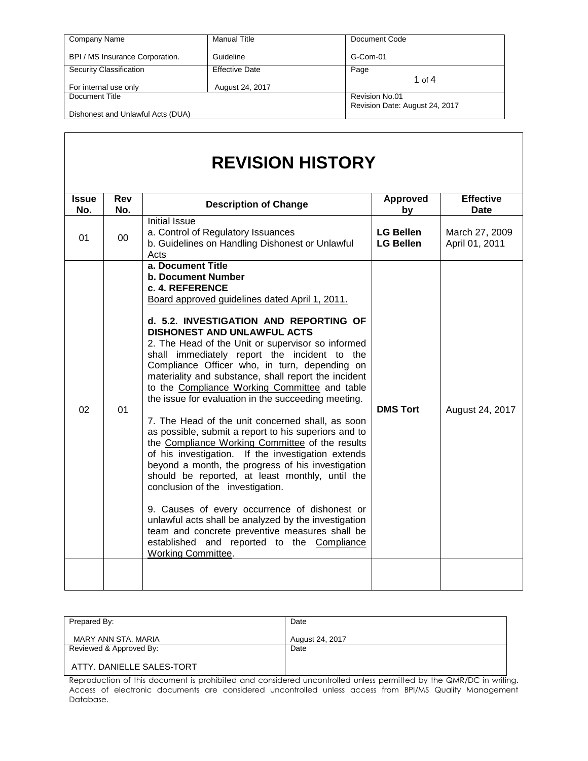| Company Name                      | <b>Manual Title</b>   | Document Code                  |
|-----------------------------------|-----------------------|--------------------------------|
| BPI / MS Insurance Corporation.   | Guideline             | G-Com-01                       |
| Security Classification           | <b>Effective Date</b> | Page                           |
|                                   |                       | 1 of $4$                       |
| For internal use only             | August 24, 2017       |                                |
| Document Title                    |                       | Revision No.01                 |
|                                   |                       | Revision Date: August 24, 2017 |
| Dishonest and Unlawful Acts (DUA) |                       |                                |

# **REVISION HISTORY**

| <b>Issue</b><br>No. | Rev<br>No. | <b>Description of Change</b>                                                                                                                                                                                                                                                                                                                                                                                                                                                                                                                                                                                                                                                                                                                                                                                                                                                                                                                                                                                                                                                                                                     | <b>Approved</b><br>by                | <b>Effective</b><br><b>Date</b>  |
|---------------------|------------|----------------------------------------------------------------------------------------------------------------------------------------------------------------------------------------------------------------------------------------------------------------------------------------------------------------------------------------------------------------------------------------------------------------------------------------------------------------------------------------------------------------------------------------------------------------------------------------------------------------------------------------------------------------------------------------------------------------------------------------------------------------------------------------------------------------------------------------------------------------------------------------------------------------------------------------------------------------------------------------------------------------------------------------------------------------------------------------------------------------------------------|--------------------------------------|----------------------------------|
| 01                  | 00         | <b>Initial Issue</b><br>a. Control of Regulatory Issuances<br>b. Guidelines on Handling Dishonest or Unlawful<br>Acts                                                                                                                                                                                                                                                                                                                                                                                                                                                                                                                                                                                                                                                                                                                                                                                                                                                                                                                                                                                                            | <b>LG Bellen</b><br><b>LG Bellen</b> | March 27, 2009<br>April 01, 2011 |
| 02                  | 01         | a. Document Title<br><b>b. Document Number</b><br>c. 4. REFERENCE<br>Board approved guidelines dated April 1, 2011.<br>d. 5.2. INVESTIGATION AND REPORTING OF<br><b>DISHONEST AND UNLAWFUL ACTS</b><br>2. The Head of the Unit or supervisor so informed<br>shall immediately report the incident to the<br>Compliance Officer who, in turn, depending on<br>materiality and substance, shall report the incident<br>to the Compliance Working Committee and table<br>the issue for evaluation in the succeeding meeting.<br>7. The Head of the unit concerned shall, as soon<br>as possible, submit a report to his superiors and to<br>the Compliance Working Committee of the results<br>of his investigation. If the investigation extends<br>beyond a month, the progress of his investigation<br>should be reported, at least monthly, until the<br>conclusion of the investigation.<br>9. Causes of every occurrence of dishonest or<br>unlawful acts shall be analyzed by the investigation<br>team and concrete preventive measures shall be<br>established and reported to the Compliance<br><b>Working Committee.</b> | <b>DMS Tort</b>                      | August 24, 2017                  |
|                     |            |                                                                                                                                                                                                                                                                                                                                                                                                                                                                                                                                                                                                                                                                                                                                                                                                                                                                                                                                                                                                                                                                                                                                  |                                      |                                  |

| Prepared By:              | Date            |
|---------------------------|-----------------|
| MARY ANN STA, MARIA       | August 24, 2017 |
| Reviewed & Approved By:   | Date            |
| ATTY, DANIELLE SALES-TORT |                 |

Reproduction of this document is prohibited and considered uncontrolled unless permitted by the QMR/DC in writing. Access of electronic documents are considered uncontrolled unless access from BPI/MS Quality Management Database.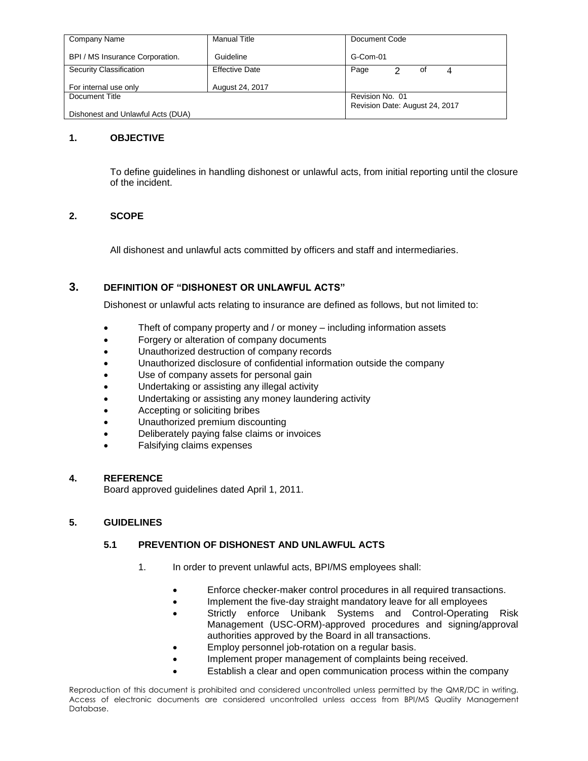| Company Name                      | <b>Manual Title</b>   | Document Code                  |
|-----------------------------------|-----------------------|--------------------------------|
| BPI / MS Insurance Corporation.   | Guideline             | G-Com-01                       |
| Security Classification           | <b>Effective Date</b> | Page<br>οf                     |
| For internal use only             | August 24, 2017       |                                |
| Document Title                    |                       | Revision No. 01                |
|                                   |                       | Revision Date: August 24, 2017 |
| Dishonest and Unlawful Acts (DUA) |                       |                                |

## **1. OBJECTIVE**

To define guidelines in handling dishonest or unlawful acts, from initial reporting until the closure of the incident.

# **2. SCOPE**

All dishonest and unlawful acts committed by officers and staff and intermediaries.

# **3. DEFINITION OF "DISHONEST OR UNLAWFUL ACTS"**

Dishonest or unlawful acts relating to insurance are defined as follows, but not limited to:

- Theft of company property and / or money including information assets
- Forgery or alteration of company documents
- Unauthorized destruction of company records
- Unauthorized disclosure of confidential information outside the company
- Use of company assets for personal gain
- Undertaking or assisting any illegal activity
- Undertaking or assisting any money laundering activity
- Accepting or soliciting bribes
- Unauthorized premium discounting
- Deliberately paying false claims or invoices
- Falsifying claims expenses

#### **4. REFERENCE**

Board approved guidelines dated April 1, 2011.

#### **5. GUIDELINES**

## **5.1 PREVENTION OF DISHONEST AND UNLAWFUL ACTS**

- 1. In order to prevent unlawful acts, BPI/MS employees shall:
	- Enforce checker-maker control procedures in all required transactions.
	- Implement the five-day straight mandatory leave for all employees
	- Strictly enforce Unibank Systems and Control-Operating Risk Management (USC-ORM)-approved procedures and signing/approval authorities approved by the Board in all transactions.
	- Employ personnel job-rotation on a regular basis.
	- Implement proper management of complaints being received.
	- Establish a clear and open communication process within the company

Reproduction of this document is prohibited and considered uncontrolled unless permitted by the QMR/DC in writing. Access of electronic documents are considered uncontrolled unless access from BPI/MS Quality Management Database.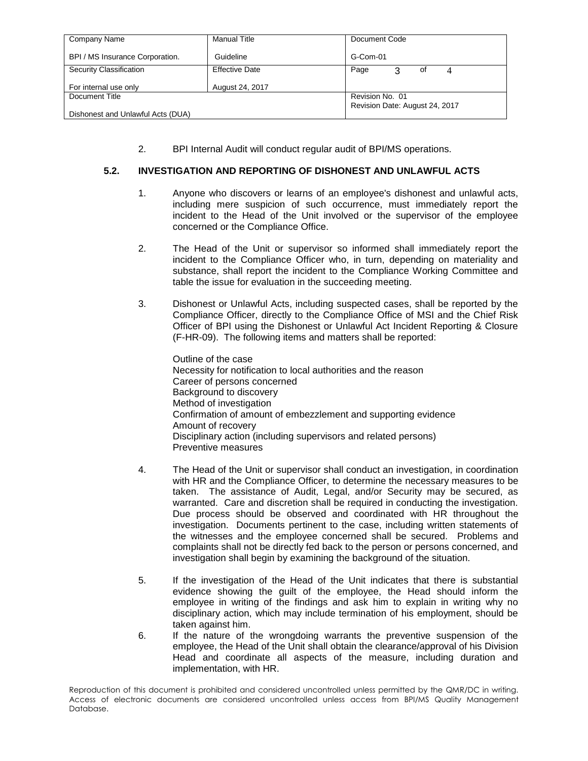| Company Name                      | <b>Manual Title</b>   | Document Code                  |
|-----------------------------------|-----------------------|--------------------------------|
| BPI / MS Insurance Corporation.   | Guideline             | G-Com-01                       |
| Security Classification           | <b>Effective Date</b> | Page<br>3<br>οf                |
| For internal use only             | August 24, 2017       |                                |
| Document Title                    |                       | Revision No. 01                |
| Dishonest and Unlawful Acts (DUA) |                       | Revision Date: August 24, 2017 |

2. BPI Internal Audit will conduct regular audit of BPI/MS operations.

# **5.2. INVESTIGATION AND REPORTING OF DISHONEST AND UNLAWFUL ACTS**

- 1. Anyone who discovers or learns of an employee's dishonest and unlawful acts, including mere suspicion of such occurrence, must immediately report the incident to the Head of the Unit involved or the supervisor of the employee concerned or the Compliance Office.
- 2. The Head of the Unit or supervisor so informed shall immediately report the incident to the Compliance Officer who, in turn, depending on materiality and substance, shall report the incident to the Compliance Working Committee and table the issue for evaluation in the succeeding meeting.
- 3. Dishonest or Unlawful Acts, including suspected cases, shall be reported by the Compliance Officer, directly to the Compliance Office of MSI and the Chief Risk Officer of BPI using the Dishonest or Unlawful Act Incident Reporting & Closure (F-HR-09). The following items and matters shall be reported:

Outline of the case Necessity for notification to local authorities and the reason Career of persons concerned Background to discovery Method of investigation Confirmation of amount of embezzlement and supporting evidence Amount of recovery Disciplinary action (including supervisors and related persons) Preventive measures

- 4. The Head of the Unit or supervisor shall conduct an investigation, in coordination with HR and the Compliance Officer, to determine the necessary measures to be taken. The assistance of Audit, Legal, and/or Security may be secured, as warranted.Care and discretion shall be required in conducting the investigation. Due process should be observed and coordinated with HR throughout the investigation. Documents pertinent to the case, including written statements of the witnesses and the employee concerned shall be secured.Problems and complaints shall not be directly fed back to the person or persons concerned, and investigation shall begin by examining the background of the situation.
- 5. If the investigation of the Head of the Unit indicates that there is substantial evidence showing the guilt of the employee, the Head should inform the employee in writing of the findings and ask him to explain in writing why no disciplinary action, which may include termination of his employment, should be taken against him.
- 6. If the nature of the wrongdoing warrants the preventive suspension of the employee, the Head of the Unit shall obtain the clearance/approval of his Division Head and coordinate all aspects of the measure, including duration and implementation, with HR.

Reproduction of this document is prohibited and considered uncontrolled unless permitted by the QMR/DC in writing. Access of electronic documents are considered uncontrolled unless access from BPI/MS Quality Management Database.